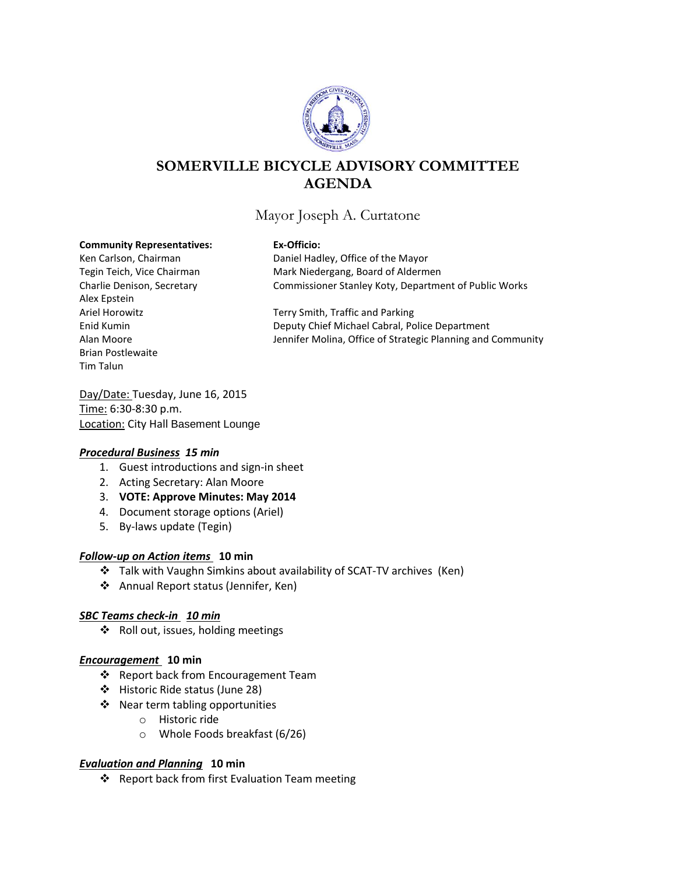

# **SOMERVILLE BICYCLE ADVISORY COMMITTEE AGENDA**

## Mayor Joseph A. Curtatone

#### **Community Representatives: Ex-Officio:**

Alex Epstein Brian Postlewaite Tim Talun

Ken Carlson, Chairman Daniel Hadley, Office of the Mayor Tegin Teich, Vice Chairman Mark Niedergang, Board of Aldermen Charlie Denison, Secretary Commissioner Stanley Koty, Department of Public Works

Ariel Horowitz **Terry Smith, Traffic and Parking** Enid Kumin Deputy Chief Michael Cabral, Police Department Alan Moore **Very 20 Strategic Planning and Community** Jennifer Molina, Office of Strategic Planning and Community

Day/Date: Tuesday, June 16, 2015 Time: 6:30-8:30 p.m. **Location: City Hall Basement Lounge** 

## *Procedural Business 15 min*

- 1. Guest introductions and sign-in sheet
- 2. Acting Secretary: Alan Moore
- 3. **VOTE: Approve Minutes: May 2014**
- 4. Document storage options (Ariel)
- 5. By-laws update (Tegin)

## *Follow-up on Action items* **10 min**

- Talk with Vaughn Simkins about availability of SCAT-TV archives (Ken)
- Annual Report status (Jennifer, Ken)

## *SBC Teams check-in 10 min*

❖ Roll out, issues, holding meetings

## *Encouragement* **10 min**

- ❖ Report back from Encouragement Team
- Historic Ride status (June 28)
- ❖ Near term tabling opportunities
	- o Historic ride
	- o Whole Foods breakfast (6/26)

## *Evaluation and Planning* **10 min**

❖ Report back from first Evaluation Team meeting